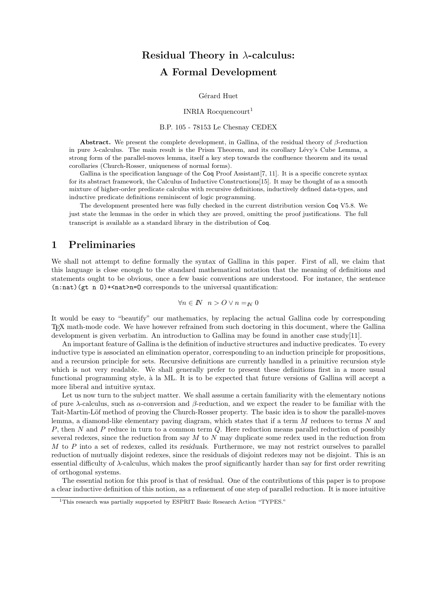# Residual Theory in λ-calculus: A Formal Development

Gérard Huet

INRIA Rocquencourt<sup>1</sup>

#### B.P. 105 - 78153 Le Chesnay CEDEX

Abstract. We present the complete development, in Gallina, of the residual theory of  $\beta$ -reduction in pure  $\lambda$ -calculus. The main result is the Prism Theorem, and its corollary Lévy's Cube Lemma, a strong form of the parallel-moves lemma, itself a key step towards the confluence theorem and its usual corollaries (Church-Rosser, uniqueness of normal forms).

Gallina is the specification language of the Coq Proof Assistant [7, 11]. It is a specific concrete syntax for its abstract framework, the Calculus of Inductive Constructions[15]. It may be thought of as a smooth mixture of higher-order predicate calculus with recursive definitions, inductively defined data-types, and inductive predicate definitions reminiscent of logic programming.

The development presented here was fully checked in the current distribution version Coq V5.8. We just state the lemmas in the order in which they are proved, omitting the proof justifications. The full transcript is available as a standard library in the distribution of Coq.

# 1 Preliminaries

We shall not attempt to define formally the syntax of Gallina in this paper. First of all, we claim that this language is close enough to the standard mathematical notation that the meaning of definitions and statements ought to be obvious, once a few basic conventions are understood. For instance, the sentence  $(n:nat)(gt n 0)$ +<nat>n=0 corresponds to the universal quantification:

$$
\forall n \in I\!\!N \ \ n > O \lor n =_{I\!\!N} 0
$$

It would be easy to "beautify" our mathematics, by replacing the actual Gallina code by corresponding TEX math-mode code. We have however refrained from such doctoring in this document, where the Gallina development is given verbatim. An introduction to Gallina may be found in another case study[11].

An important feature of Gallina is the definition of inductive structures and inductive predicates. To every inductive type is associated an elimination operator, corresponding to an induction principle for propositions, and a recursion principle for sets. Recursive definitions are currently handled in a primitive recursion style which is not very readable. We shall generally prefer to present these definitions first in a more usual functional programming style, à la ML. It is to be expected that future versions of Gallina will accept a more liberal and intuitive syntax.

Let us now turn to the subject matter. We shall assume a certain familiarity with the elementary notions of pure  $\lambda$ -calculus, such as  $\alpha$ -conversion and  $\beta$ -reduction, and we expect the reader to be familiar with the Tait-Martin-Löf method of proving the Church-Rosser property. The basic idea is to show the parallel-moves lemma, a diamond-like elementary paving diagram, which states that if a term M reduces to terms N and P, then N and P reduce in turn to a common term Q. Here reduction means parallel reduction of possibly several redexes, since the reduction from say  $M$  to  $N$  may duplicate some redex used in the reduction from  $M$  to  $P$  into a set of redexes, called its residuals. Furthermore, we may not restrict ourselves to parallel reduction of mutually disjoint redexes, since the residuals of disjoint redexes may not be disjoint. This is an essential difficulty of  $\lambda$ -calculus, which makes the proof significantly harder than say for first order rewriting of orthogonal systems.

The essential notion for this proof is that of residual. One of the contributions of this paper is to propose a clear inductive definition of this notion, as a refinement of one step of parallel reduction. It is more intuitive

<sup>&</sup>lt;sup>1</sup>This research was partially supported by ESPRIT Basic Research Action "TYPES."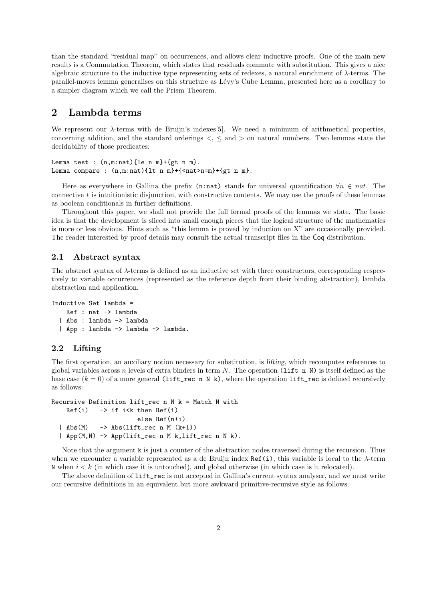than the standard "residual map" on occurrences, and allows clear inductive proofs. One of the main new results is a Commutation Theorem, which states that residuals commute with substitution. This gives a nice algebraic structure to the inductive type representing sets of redexes, a natural enrichment of  $\lambda$ -terms. The parallel-moves lemma generalises on this structure as Lévy's Cube Lemma, presented here as a corollary to a simpler diagram which we call the Prism Theorem.

# 2 Lambda terms

We represent our  $\lambda$ -terms with de Bruijn's indexes[5]. We need a minimum of arithmetical properties, concerning addition, and the standard orderings  $\lt$ ,  $\le$  and  $>$  on natural numbers. Two lemmas state the decidability of those predicates:

```
Lemma test : (n,m:nat){le n m}+{gt n m}.
Lemma compare : (n,m:nat){1t n m}+{<nat>n=m}+{gt n m}.
```
Here as everywhere in Gallina the prefix (n:nat) stands for universal quantification  $\forall n \in nat$ . The connective + is intuitionistic disjunction, with constructive contents. We may use the proofs of these lemmas as boolean conditionals in further definitions.

Throughout this paper, we shall not provide the full formal proofs of the lemmas we state. The basic idea is that the development is sliced into small enough pieces that the logical structure of the mathematics is more or less obvious. Hints such as "this lemma is proved by induction on X" are occasionally provided. The reader interested by proof details may consult the actual transcript files in the Coq distribution.

#### 2.1 Abstract syntax

The abstract syntax of  $\lambda$ -terms is defined as an inductive set with three constructors, corresponding respectively to variable occurrences (represented as the reference depth from their binding abstraction), lambda abstraction and application.

```
Inductive Set lambda =
   Ref : nat -> lambda
  | Abs : lambda -> lambda
  | App : lambda -> lambda -> lambda.
```
# 2.2 Lifting

The first operation, an auxiliary notion necessary for substitution, is lifting, which recomputes references to global variables across n levels of extra binders in term N. The operation (lift n N) is itself defined as the base case  $(k = 0)$  of a more general (lift\_rec n N k), where the operation lift\_rec is defined recursively as follows:

```
Recursive Definition lift_rec n N k = Match N with
    Ref(i) \rightarrow if i < k then Ref(i)else Ref(n+i)
  | Abs(M) \rightarrow Abs(lift_rec n M (k+1))
  | App(M,N) -> App(lift_rec n M k,lift_rec n N k).
```
Note that the argument k is just a counter of the abstraction nodes traversed during the recursion. Thus when we encounter a variable represented as a de Bruijn index Ref(i), this variable is local to the  $\lambda$ -term N when  $i < k$  (in which case it is untouched), and global otherwise (in which case is it relocated).

The above definition of  $lift\_rec$  is not accepted in Gallina's current syntax analyser, and we must write our recursive definitions in an equivalent but more awkward primitive-recursive style as follows.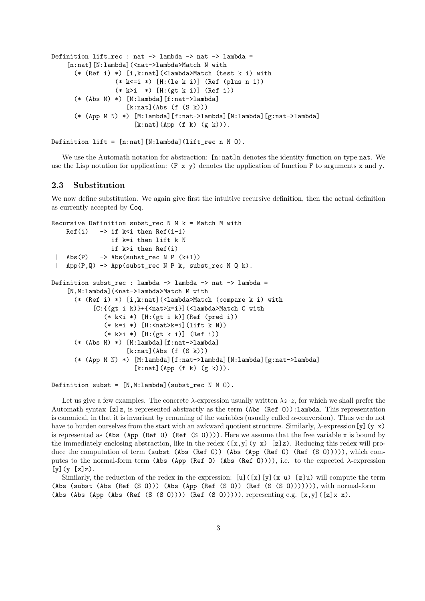```
Definition lift_rec : nat -> lambda -> nat -> lambda =
    [n:nat][N:lambda](<nat->lambda>Match N with
      (* (Ref i) *) [i,k:nat](<lambda>Match (test k i) with
                 (* k<=i *) [H:(le k i)] (Ref (plus n i))
                 (* k>i *) [H:(gt k i)] (Ref i))
      (* (Abs M) *) [M:lambda][f:nat->lambda]
                    [k:nat](Abs (f (S k)))(* (App M N) *) [M:lambda][f:nat->lambda][N:lambda][g:nat->lambda]
                      [k:nat](App (f k) (g k)).
```

```
Definition lift = [n:nat] [N:lambda] (lift\_rec n N 0).
```
We use the Automath notation for abstraction:  $[n:nat]$  denotes the identity function on type nat. We use the Lisp notation for application:  $(F \times y)$  denotes the application of function F to arguments x and y.

### 2.3 Substitution

We now define substitution. We again give first the intuitive recursive definition, then the actual definition as currently accepted by Coq.

```
Recursive Definition subst_rec N M k = Match M with
    Ref(i) -> if k<i then Ref(i-1)if k=i then lift k N
                 if k>i then Ref(i)
 |\text{Abs}(P) \rightarrow \text{Abs}(\text{substr\_rec} \ N \ P \ (k+1))| App(P,Q) -> App(subst_rec N P k, subst_rec N Q k).
Definition subst_rec : lambda -> lambda -> nat -> lambda =
    [N, M: lambda](<nat->lambda>Match M with
      (* (Ref i) *) [i,k:nat](<lambda>Match (compare k i) with
            [C:\{(gt i k)\}+\{<\nnat&gt;k=i\}](\langlelambda>Match C with
               (* k < i *) [H:(gt i k)](Ref (pred i))
               (* k=i *) [H:<nat>k=i](lift k N))
               (* k>i *) [H:(gt k i)] (Ref i))
      (* (Abs M) *) [M:lambda][f:nat->lambda]
                      [k:nat](Abs (f (S k)))(* (App M N) *) [M:lambda][f:nat->lambda][N:lambda][g:nat->lambda]
                        [k:nat](App (f k) (g k)).
```

```
Definition subst = [N,M:1ambda] (subst_rec N M 0).
```
Let us give a few examples. The concrete  $\lambda$ -expression usually written  $\lambda z \cdot z$ , for which we shall prefer the Automath syntax [z]z, is represented abstractly as the term (Abs (Ref O)):lambda. This representation is canonical, in that it is invariant by renaming of the variables (usually called  $\alpha$ -conversion). Thus we do not have to burden ourselves from the start with an awkward quotient structure. Similarly,  $\lambda$ -expression[y](y x) is represented as (Abs (App (Ref  $(0)$ ) (Ref  $(0)$ ))). Here we assume that the free variable x is bound by the immediately enclosing abstraction, like in the redex  $([x,y](y x) [z]z)$ . Reducing this redex will produce the computation of term (subst (Abs (Ref 0)) (Abs (App (Ref 0) (Ref (S 0))))), which computes to the normal-form term (Abs (App (Ref O) (Abs (Ref O)))), i.e. to the expected λ-expression  $[y](y [z]z)$ .

Similarly, the reduction of the redex in the expression:  $[u](x][y](x u)$  [z]u) will compute the term (Abs (subst (Abs (Ref (S O))) (Abs (App (Ref (S O)) (Ref (S (S O))))))), with normal-form (Abs (Abs (App (Abs (Ref (S (S O)))) (Ref (S O))))), representing e.g.  $[x,y]$  ( $[z]x \ x$ ).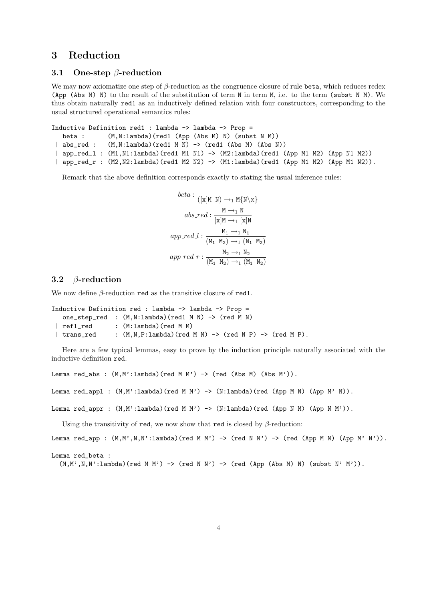# 3 Reduction

#### 3.1 One-step  $\beta$ -reduction

We may now axiomatize one step of  $\beta$ -reduction as the congruence closure of rule beta, which reduces redex (App (Abs M) N) to the result of the substitution of term N in term M, i.e. to the term (subst N M). We thus obtain naturally red1 as an inductively defined relation with four constructors, corresponding to the usual structured operational semantics rules:

```
Inductive Definition red1 : lambda -> lambda -> Prop =
  beta : (M,N:lambda)(red1 (App (Abs M) N) (subst N M))
 | abs_red : (M,N:\lambda) (red1 M N) -> (red1 (Abs M) (Abs N))
 | app_red_l : (M1,N1:lambda)(red1 M1 N1) -> (M2:lambda)(red1 (App M1 M2) (App N1 M2))
 | app_red_r : (M2,N2:lambda)(red1 M2 N2) -> (M1:lambda)(red1 (App M1 M2) (App M1 N2)).
```
Remark that the above definition corresponds exactly to stating the usual inference rules:

$$
beta: \frac{1}{([x]M N) \rightarrow_1 M\{N \setminus x\}}
$$
  
\n
$$
abs\_red: \frac{M \rightarrow_1 N}{[x]M \rightarrow_1 [x]N}
$$
  
\n
$$
app\_red\_l: \frac{M_1 \rightarrow_1 N_1}{(M_1 M_2) \rightarrow_1 (N_1 M_2)}
$$
  
\n
$$
app\_red\_r: \frac{M_2 \rightarrow_1 N_2}{(M_1 M_2) \rightarrow_1 (M_1 M_2)}
$$

### 3.2 β-reduction

We now define  $\beta$ -reduction red as the transitive closure of red1.

```
Inductive Definition red : lambda -> lambda -> Prop =
  one_step_red : (M,N:lambda)(red1 M N) -> (red M N)
 | refl_red : (M:lambda)(red M M)
 | trans_red : (M, N, P:1ambda) (red M N) -> (red N P) -> (red M P).
```
Here are a few typical lemmas, easy to prove by the induction principle naturally associated with the inductive definition red.

Lemma red\_abs :  $(M, M':1ambda)$  (red  $M M'$ ) -> (red (Abs  $M$ ) (Abs  $M'$ )).

Lemma red\_appl :  $(M, M':1$ ambda)(red M M') -> (N:1ambda)(red (App M N) (App M' N)).

Lemma red\_appr :  $(M, M':1$ ambda)(red M M') ->  $(N:1$ ambda)(red (App N M) (App N M')).

Using the transitivity of red, we now show that red is closed by  $\beta$ -reduction:

```
Lemma red_app : (M, M', N, N'): lambda)(red M M') -> (red N N') -> (red (App M N) (App M' N')).
```

```
Lemma red_beta :
```
 $(M,M',N,N':1$ ambda)(red M M') -> (red N N') -> (red (App (Abs M) N) (subst N' M')).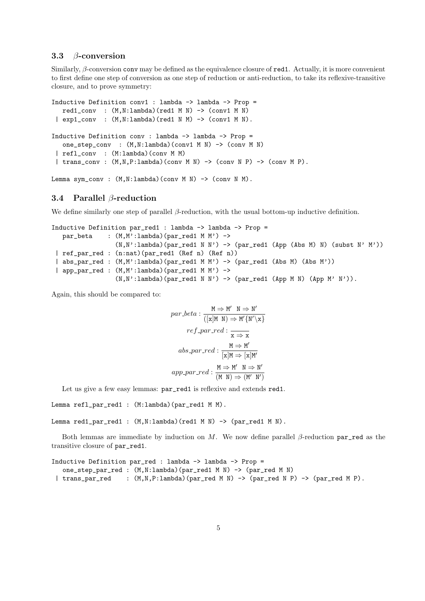#### 3.3 β-conversion

Similarly, β-conversion conv may be defined as the equivalence closure of red1. Actually, it is more convenient to first define one step of conversion as one step of reduction or anti-reduction, to take its reflexive-transitive closure, and to prove symmetry:

```
Inductive Definition conv1 : lambda -> lambda -> Prop =
   red1_conv : (M,N:lambda)(red1 M N) -> (conv1 M N)
 | exp1_conv : (M,N:lambda)(red1 N M) -> (conv1 M N).
Inductive Definition conv : lambda -> lambda -> Prop =
  one_step_conv : (M,N:lambda)(conv1 M N) -> (conv M N)
 | refl_conv : (M:lambda)(conv M M)
 | trans_conv : (M,N,P:lambda)(conv M N) -> (conv N P) -> (conv M P).
```
Lemma sym\_conv :  $(M,N:\lambda)$  (conv M N) -> (conv N M).

### 3.4 Parallel β-reduction

We define similarly one step of parallel  $\beta$ -reduction, with the usual bottom-up inductive definition.

```
Inductive Definition par_red1 : lambda -> lambda -> Prop =
   par\_beta : (M, M':lambda) (par_red1 M M') ->
                 (N, N':lambda)(par_red1 N N') -> (par_red1 (App (Abs M) N) (subst N' M'))
 | ref_par_red : (n:nat)(par_red1 (Ref n) (Ref n))
 | abs_par_red : (M,M':lambda)(par_red1 M M') -> (par_red1 (Abs M) (Abs M'))
 | app_par_red : (M,M':lambda)(par_red1 M M') ->
                 (N, N':lambda)(par_red1 N N') -> (par_red1 (App M N) (App M' N')).
```
Again, this should be compared to:

$$
par\_beta : \frac{M \Rightarrow M' \quad N \Rightarrow N'}{([x]M \quad N) \Rightarrow M'\{N'\x\}}
$$

$$
ref\_par\_red : \frac{M \Rightarrow M'}{x \Rightarrow x}
$$

$$
abs\_par\_red : \frac{M \Rightarrow M'}{[x]M \Rightarrow [x]M'}
$$

$$
app\_par\_red : \frac{M \Rightarrow M' \quad N \Rightarrow N'}{(M \quad N) \Rightarrow (M' \quad N')}
$$

Let us give a few easy lemmas: par\_red1 is reflexive and extends red1.

```
Lemma refl_par_red1 : (M:\lambda) (par_red1 M M).
```
Lemma red1\_par\_red1 :  $(M,N:\lambda)$  (red1 M N) -> (par\_red1 M N).

Both lemmas are immediate by induction on M. We now define parallel  $\beta$ -reduction par\_red as the transitive closure of par\_red1.

```
Inductive Definition par_red : lambda -> lambda -> Prop =
   one_step_par_red : (M,N:lambda)(par_red1 M N) -> (par_red M N)
 | trans_par_red : (M,N,P:lambda)(par_red M N) -> (par_red N P) -> (par_red M P).
```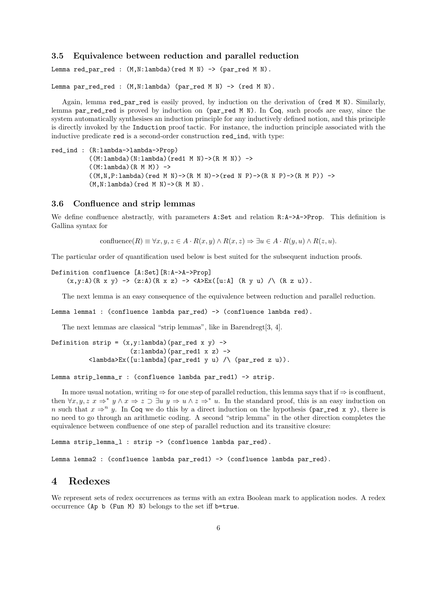#### 3.5 Equivalence between reduction and parallel reduction

Lemma red\_par\_red :  $(M,N:\lambda)$  (red M N) -> (par\_red M N).

Lemma par\_red\_red :  $(M,N:\lambda)$  (par\_red M N) -> (red M N).

Again, lemma red\_par\_red is easily proved, by induction on the derivation of (red M N). Similarly, lemma par\_red\_red is proved by induction on (par\_red M N). In Coq, such proofs are easy, since the system automatically synthesises an induction principle for any inductively defined notion, and this principle is directly invoked by the Induction proof tactic. For instance, the induction principle associated with the inductive predicate red is a second-order construction red\_ind, with type:

```
red_ind : (R:lambda->lambda->Prop)
               ((M:lambda)(N:lambda)(red1 M N)->(R M N)) ->
               ((M:1ambda)(R M M)) ->
               ((M,N,P:\text{lambda})\text{ (red }M\ N) \rightarrow (R\ M\ N) \rightarrow (\text{red }\ N\ P) \rightarrow (R\ N\ P) \rightarrow (R\ M\ P)) \rightarrow(M, N:lambda) (red M N) -> (R M N).
```
#### 3.6 Confluence and strip lemmas

We define confluence abstractly, with parameters  $A:Set$  and relation  $R:A->A->Prop$ . This definition is Gallina syntax for

confluence $(R) \equiv \forall x, y, z \in A \cdot R(x, y) \land R(x, z) \Rightarrow \exists u \in A \cdot R(y, u) \land R(z, u).$ 

The particular order of quantification used below is best suited for the subsequent induction proofs.

Definition confluence [A:Set][R:A->A->Prop]  $(x,y:A)(R x y) \rightarrow (z:A)(R x z) \rightarrow \langle A \rangle \text{Ex}([u:A] (R y u) / \langle (R z u) \rangle).$ 

The next lemma is an easy consequence of the equivalence between reduction and parallel reduction.

Lemma lemma1 : (confluence lambda par\_red) -> (confluence lambda red).

The next lemmas are classical "strip lemmas", like in Barendregt[3, 4].

```
Definition strip = (x,y:1ambda)(par_red x y) ->
                      (z:\lambda) (par_red1 x z) ->
          \langlelambda>Ex([u:lambda](par_red1 y u) /\ (par_red z u)).
```

```
Lemma strip_lemma_r : (confluence lambda par_red1) -> strip.
```
In more usual notation, writing  $\Rightarrow$  for one step of parallel reduction, this lemma says that if  $\Rightarrow$  is confluent, then  $\forall x, y, z \ x \Rightarrow^* y \land x \Rightarrow z \supset \exists u \ y \Rightarrow u \land z \Rightarrow^* u$ . In the standard proof, this is an easy induction on n such that  $x \Rightarrow^n y$ . In Coq we do this by a direct induction on the hypothesis (par\_red x y), there is no need to go through an arithmetic coding. A second "strip lemma" in the other direction completes the equivalence between confluence of one step of parallel reduction and its transitive closure:

```
Lemma strip_lemma_1 : strip -> (confluence lambda par_red).
```
Lemma lemma2 : (confluence lambda par\_red1) -> (confluence lambda par\_red).

# 4 Redexes

We represent sets of redex occurrences as terms with an extra Boolean mark to application nodes. A redex occurrence (Ap b (Fun M) N) belongs to the set iff b=true.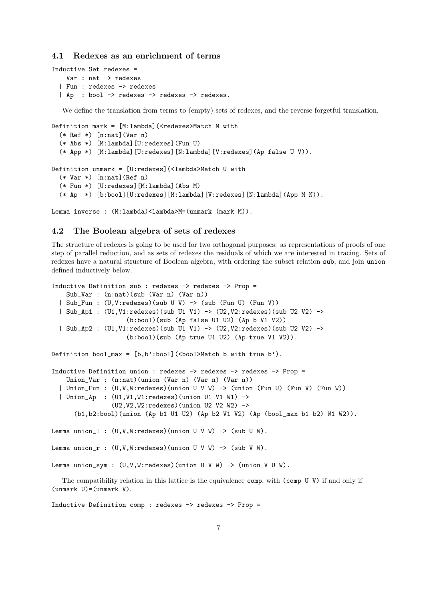#### 4.1 Redexes as an enrichment of terms

```
Inductive Set redexes =
   Var : nat -> redexes
  | Fun : redexes -> redexes
  | Ap : bool -> redexes -> redexes -> redexes.
```
We define the translation from terms to (empty) sets of redexes, and the reverse forgetful translation.

```
Definition mark = [M:lambda] (<redexes>Match M with
  (* Ref * [n:nat](Var n)(* Abs *) [M:lambda][U:redexes](Fun U)
  (* App *) [M:lambda][U:redexes][N:lambda][V:redexes](Ap false U V)).
Definition unmark = [U:redexes](<lambda>Match U with
  (* \nVar *) [n:nat] (Ref n)
  (* Fun *) [U:redexes][M:lambda](Abs M)
  (* Ap *) [b:bool][U:redexes][M:lambda][V:redexes][N:lambda](App M N)).
```
Lemma inverse :  $(M:\lambda)$  /  $\lambda$  /  $\lambda$  /  $\lambda$  /  $\lambda$  /  $\lambda$  /  $\lambda$  /  $\lambda$  /  $\lambda$  /  $\lambda$  /  $\lambda$  /  $\lambda$  /  $\lambda$  /  $\lambda$  /  $\lambda$  /  $\lambda$  /  $\lambda$  /  $\lambda$  /  $\lambda$  /  $\lambda$  /  $\lambda$  /  $\lambda$  /  $\lambda$  /  $\lambda$  /  $\lambda$  /  $\lambda$  /  $\lambda$  /  $\lambda$  /  $\lambda$  /

# 4.2 The Boolean algebra of sets of redexes

The structure of redexes is going to be used for two orthogonal purposes: as representations of proofs of one step of parallel reduction, and as sets of redexes the residuals of which we are interested in tracing. Sets of redexes have a natural structure of Boolean algebra, with ordering the subset relation sub, and join union defined inductively below.

```
Inductive Definition sub : redexes -> redexes -> Prop =
   Sub_Var : (n:nat)(sub (Var n) (Var n))
  | Sub_Fun : (U,V:redexes)(sub U V) -> (sub (Fun U) (Fun V))
  | Sub_Ap1 : (U1,V1:redexes)(sub U1 V1) -> (U2,V2:redexes)(sub U2 V2) ->
                    (b:bool)(sub (Ap false U1 U2) (Ap b V1 V2))
  | Sub_Ap2 : (U1,V1:redexes)(sub U1 V1) -> (U2,V2:redexes)(sub U2 V2) ->
                    (b:bool)(sub (Ap true U1 U2) (Ap true V1 V2)).
Definition bool_max = [b, b':bool](<br/>bool>Match b with true b').
Inductive Definition union : redexes -> redexes -> redexes -> Prop =
    Union_Var : (n:nat)(union (Var n) (Var n) (Var n))
  | Union_Fun : (U,V,W:redexes)(union U V W) -> (union (Fun U) (Fun V) (Fun W))
  | Union_Ap : (U1,V1,W1:redexes)(union U1 V1 W1) ->
                (U2,V2,W2:redexes)(union U2 V2 W2) ->
      (b1,b2:bool)(union (Ap b1 U1 U2) (Ap b2 V1 V2) (Ap (bool_max b1 b2) W1 W2)).
Lemma union_1 : (U,V,W:\text{redexes}) (union U V W) -> (sub U W).
Lemma union_r : (U, V, W:redexes)(union U V W) -> (sub V W).
```

```
Lemma union_sym : (U, V, W:redexes)(union U V W) -> (union V U W).
```
The compatibility relation in this lattice is the equivalence comp, with (comp U V) if and only if  $(unnmark U)=(unnark V).$ 

Inductive Definition comp : redexes -> redexes -> Prop =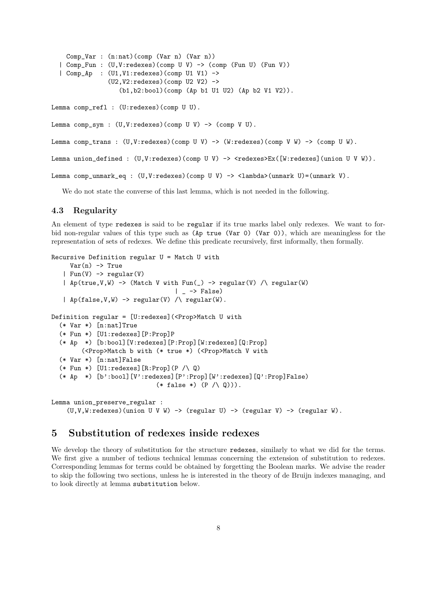```
Comp_Var : (n:nat)(comp (Var n) (Var n))
| Comp_Fun : (U,V:redexes)(comp U V) -> (comp (Fun U) (Fun V))
| Comp_Ap : (U1,V1:redexes)(comp U1 V1) ->
             (U2, V2:redexes)(comp U2 V2) \rightarrow(b1,b2:bool)(comp (Ap b1 U1 U2) (Ap b2 V1 V2)).
```
Lemma comp\_refl : (U:redexes)(comp U U).

Lemma comp\_sym :  $(U, V:$ redexes)(comp  $U$   $V$ )  $\rightarrow$  (comp  $V$   $U$ ).

Lemma comp\_trans : (U,V:redexes)(comp U V) -> (W:redexes)(comp V W) -> (comp U W).

```
Lemma union_defined : (U, V:redexes)(comp U V) -> <redexes>Ex([W:redexes](union U V W)).
```

```
Lemma comp_unmark_eq : (U,V:redexes)(comp U V) -> <lambda>(unmark U)=(unmark V).
```
We do not state the converse of this last lemma, which is not needed in the following.

#### 4.3 Regularity

An element of type redexes is said to be regular if its true marks label only redexes. We want to forbid non-regular values of this type such as (Ap true (Var 0) (Var 0)), which are meaningless for the representation of sets of redexes. We define this predicate recursively, first informally, then formally.

```
Recursive Definition regular U = Match U with
     Var(n) \rightarrow True| Fun(V) -> regular(V)
   | Ap(true, V, W) -> (Match V with Fun(\_) -> regular(V) /\ regular(W)| \rightarrow False)
   | Ap(false, V, W) -> regular(V) / regular(W).
Definition regular = [U:redexes] (<Prop>Match U with
  (* Var *) [n:nat]True
  (* Fun *) [U1:redexes][P:Prop]P
  (* Ap *) [b:bool][V:redexes][P:Prop][W:redexes][Q:Prop]
        (<Prop>Match b with (* true *) (<Prop>Match V with
  (* Var *) [n:nat]False
  (* Fun *) [U1:redexes][R:Prop](P \wedge Q)
  (* Ap *) [b':bool][V':redexes][P':Prop][W':redexes][Q':Prop]False)
                             (* false *) (P / \sqrt{Q}))).
Lemma union_preserve_regular :
    (U, V, W:redexes)(union U V W) -> (regular U) -> (regular V) -> (regular W).
```
# 5 Substitution of redexes inside redexes

We develop the theory of substitution for the structure redexes, similarly to what we did for the terms. We first give a number of tedious technical lemmas concerning the extension of substitution to redexes. Corresponding lemmas for terms could be obtained by forgetting the Boolean marks. We advise the reader to skip the following two sections, unless he is interested in the theory of de Bruijn indexes managing, and to look directly at lemma substitution below.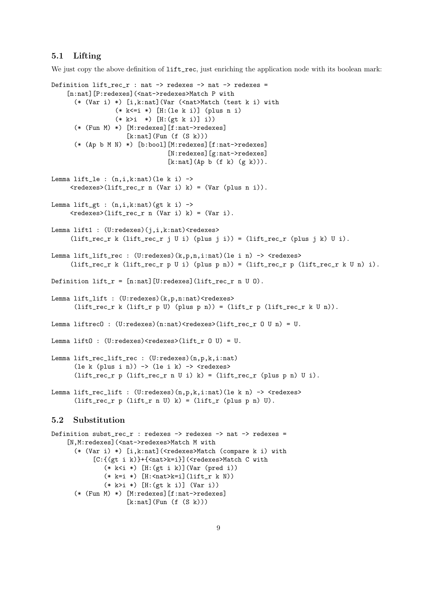#### 5.1 Lifting

We just copy the above definition of  $lift\_rec$ , just enriching the application node with its boolean mark:

```
Definition lift\_rec\_r : nat \rightarrow redexes \rightarrow nat \rightarrow redexes =
    [n:nat][P:redexes](<nat->redexes>Match P with
      (* (Var i) *) [i,k:nat](Var (<nat>Match (test k i) with
                   (* k<=i *) [H:(le k i)] (plus n i)
                   (* k>i *) [H:(gt k i)] i))
      (* (Fun M) *) [M:redexes][f:nat->redexes]
                      [k:nat](Fun (f (S k)))
      (* (Ap b M N) *) [b:bool][M:redexes][f:nat->redexes]
                                  [N:redexes][g:nat->redexes]
                                  [k:nat](Ap b (f k) (g k))).Lemma lift_le : (n,i,k:nat)(le k i) ->
     \langleredexes>(lift_rec_r n (Var i) k) = (Var (plus n i)).
Lemma lift_gt : (n,i,k:nat) (gt k i) ->
     \langleredexes>(lift_rec_r n (Var i) k) = (Var i).
Lemma lift1 : (U:redexes)(j,i,k:nat)<redexes>
     (lift\_rec\_r \; k \; (lift\_rec\_r \; j \; U \; i) \; (plus \; j \; i)) = (lift\_rec\_r \; (plus \; j \; k) \; U \; i).Lemma lift_lift_rec : (U:redesc)(k,p,n,i:nat)(le i n) \rightarrow <redexes>
     (lift\_rec\_r \; k \; (lift\_rec\_r \; p \; U \; i) \; (plus \; p \; n)) = (lift\_rec\_r \; p \; (lift\_rec\_r \; k \; U \; n) \; i).Definition lift_r = [n:nat] [U:redexes] (lift_rec_r n U 0).
Lemma lift_lift : (U:redexes)(k,p,n:nat)<redexes>
      (lift_rec_r k (lift_r p U) (plus p n)) = (lift_r p (lift_rec_r k U n)).
Lemma liftrecO : (U:rederes)(n:nat) <redexes>(iift\_rec\_r 0 U n) = U.
Lemma lift0 : (U:redexes)<redexes>(lift_r 0 U) = U.
Lemma lift_rec_lift_rec : (U:redexes)(n,p,k,i:nat)(le k (plus i n)) \rightarrow (le i k) \rightarrow <redexes>
      (lift_rec_r p (lift_rec_r n U i) k) = (lift_rec_r (plus p n) U i).
Lemma lift_rec_lift : (U:redexes)(n,p,k,i:nat)(le k n) \rightarrow <redexes>
       (lift_rec_r p (lift_r n U) k) = (lift_r (plus p n) U).
5.2 Substitution
Definition subst_rec_r : redexes -> redexes -> nat -> redexes =
    [N,M:redexes](<nat->redexes>Match M with
      (* (Var i) *) [i,k:nat](<redexes>Match (compare k i) with
            [C:{(gt i k)}+{<nat>k=i}](<redexes>Match C with
               (* k<i *) [H:(gt i k)](Var (pred i))
```

```
(* k=i *) [H: \mathsf{C}nat>k=i](lift_r k N))
(* k>i *) [H:(gt k i)] (Var i))
```

```
(* (Fun M) *) [M:redexes][f:nat->redexes]
```

```
[k:nat] (Fun (f (S k)))
```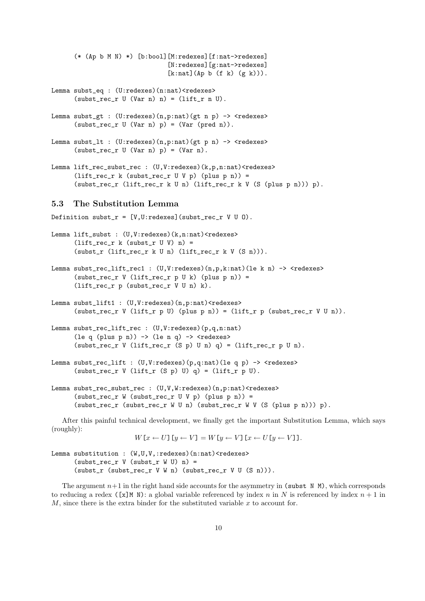```
(* (Ap b M N) *) [b:bool][M:redexes][f:nat->redexes]
                         [N:redexes][g:nat->redexes]
                         [k:nat](Ap b (f k) (g k))).
```
- Lemma subst\_eq : (U:redexes)(n:nat)<redexes>  $(subst\_rec\_r$  U  $(Var n) n) = (lift\_r n U).$
- Lemma subst\_gt :  $(U:rederes)(n,p:nat)(gt n p) \rightarrow$  <redexes>  $(subst\_rec\_r$   $U$   $(Var n) p) = (Var (pred n))$ .
- Lemma subst\_lt : (U:redexes)(n,p:nat)(gt p n) -> <redexes>  $(subst\_rec\_r$  U  $(Var n) p) = (Var n)$ .
- Lemma lift\_rec\_subst\_rec : (U,V:redexes)(k,p,n:nat)<redexes>  $(lift\_rec\_r$  k (subst\_rec\_r U V p) (plus p n)) = (subst\_rec\_r (lift\_rec\_r k U n) (lift\_rec\_r k V (S (plus p n))) p).

#### 5.3 The Substitution Lemma

Definition subst\_r =  $[V,U:redexes]$  (subst\_rec\_r V U 0).

```
Lemma lift_subst : (U,V:redexes)(k,n:nat)<redexes>
      (lift\_rec\_r k (subst_r U V) n) =
      (subst_r (lift_rec_r k U n) (lift_rec_r k V (S n))).
```
- Lemma subst\_rec\_lift\_rec1 :  $(U,V:redexes)$  $(n,p,k:nat)$  $(le k n)$  ->  $\le$ redexes>  $(subst\_rec_r V (lift\_rec_r p U k) (plus p n)) =$ (lift\_rec\_r p (subst\_rec\_r V U n) k).
- Lemma subst\_lift1 : (U,V:redexes)(n,p:nat)<redexes>  $(subst\_rec\_r \ V (lift_r p \ U) (plus p n)) = (lift_r p (subset_c r \ V \ U n)).$
- Lemma subst\_rec\_lift\_rec : (U,V:redexes)(p,q,n:nat) (le q (plus p n))  $\rightarrow$  (le n q)  $\rightarrow$  <redexes> (subst\_rec\_r V (lift\_rec\_r (S p) U n)  $q$ ) = (lift\_rec\_r p U n).
- Lemma subst\_rec\_lift :  $(U,V:rederes)(p,q:nat)(le q p)$  -> <redexes>  $(subst\_rec\_r$  V  $(lift_r (S p) U) q) = (lift_r p U).$
- Lemma subst\_rec\_subst\_rec :  $(U,V,W:redexes)$  (n,p:nat)<redexes>  $(subst\_rec\_r$  W  $(subst\_rec\_r$  U V p)  $(plus p n)) =$ (subst\_rec\_r (subst\_rec\_r W U n) (subst\_rec\_r W V (S (plus p n))) p).

After this painful technical development, we finally get the important Substitution Lemma, which says (roughly):

```
W[x \leftarrow U] [y \leftarrow V] = W[y \leftarrow V] [x \leftarrow U[y \leftarrow V]].
```

```
Lemma substitution : (W,U,V,:\text{redexes}) (n:nat) <redexes>
      (subst\_rec\_r V (subst\_r W U) n) =
      (subst_r (subst_recr V W n) (subst_recr V U (S n))).
```
The argument  $n+1$  in the right hand side accounts for the asymmetry in (subst N M), which corresponds to reducing a redex ([x]M N): a global variable referenced by index n in N is referenced by index  $n + 1$  in  $M$ , since there is the extra binder for the substituted variable  $x$  to account for.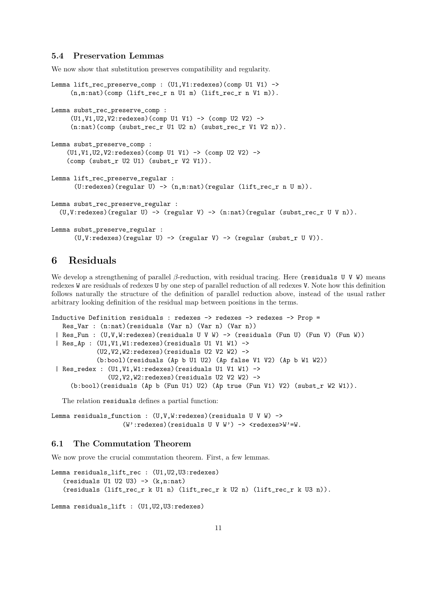### 5.4 Preservation Lemmas

We now show that substitution preserves compatibility and regularity.

```
Lemma lift_rec_preserve_comp : (U1, V1: redexes)(comp U1 V1) ->
     (n,m:nat)(comp (lift_rec_r n U1 m) (lift_rec_r n V1 m)).
Lemma subst_rec_preserve_comp :
     (U1,V1,U2,V2:redexes)(comp U1 V1) -> (comp U2 V2) ->
     (n:nat)(comp (subst_rec_r U1 U2 n) (subst_rec_r V1 V2 n)).
Lemma subst_preserve_comp :
    (U1,V1,U2,V2:redexes)(comp U1 V1) -> (comp U2 V2) ->
    (comp (subst_r U2 U1) (subst_r V2 V1)).
Lemma lift rec preserve regular :
      (U:redexes)(regular U) \rightarrow (n,m:nat)(regular (lift\_rec_r n U m)).Lemma subst_rec_preserve_regular :
  (U, V:redexes)(regular U) -> (regular V) -> (n:nat)(regular (subst_rec_r U V n)).
Lemma subst_preserve_regular :
      (U, V:redexes)(regular U) -> (regular V) -> (regular (subst_r U V)).
```
# 6 Residuals

We develop a strengthening of parallel  $\beta$ -reduction, with residual tracing. Here (residuals U V W) means redexes W are residuals of redexes U by one step of parallel reduction of all redexes V. Note how this definition follows naturally the structure of the definition of parallel reduction above, instead of the usual rather arbitrary looking definition of the residual map between positions in the terms.

```
Inductive Definition residuals : redexes -> redexes -> redexes -> Prop =
  Res_Var : (n:nat)(residuals (Var n) (Var n) (Var n))
 | Res_Fun : (U,V,W:redexes)(residuals U V W) -> (residuals (Fun U) (Fun V) (Fun W))
 | Res_Ap : (U1,V1,W1:redexes)(residuals U1 V1 W1) ->
            (U2,V2,W2:redexes)(residuals U2 V2 W2) ->
            (b:bool)(residuals (Ap b U1 U2) (Ap false V1 V2) (Ap b W1 W2))
 | Res_redex : (U1,V1,W1:redexes)(residuals U1 V1 W1) ->
               (U2,V2,W2:redexes) (residuals U2 V2 W2) ->
     (b:bool)(residuals (Ap b (Fun U1) U2) (Ap true (Fun V1) V2) (subst_r W2 W1)).
```
The relation residuals defines a partial function:

```
Lemma residuals_function : (U,V,W:redexes)(residuals U V W) ->
                   (W':redexes)(residuals U V W') -> <redexes>W'=W.
```
#### 6.1 The Commutation Theorem

We now prove the crucial commutation theorem. First, a few lemmas.

```
Lemma residuals_lift_rec : (U1,U2,U3:redexes)
   (residuals U1 U2 U3) \rightarrow (k,n:n)(residuals (lift_rec_r k U1 n) (lift_rec_r k U2 n) (lift_rec_r k U3 n)).
```

```
Lemma residuals_lift : (U1,U2,U3:redexes)
```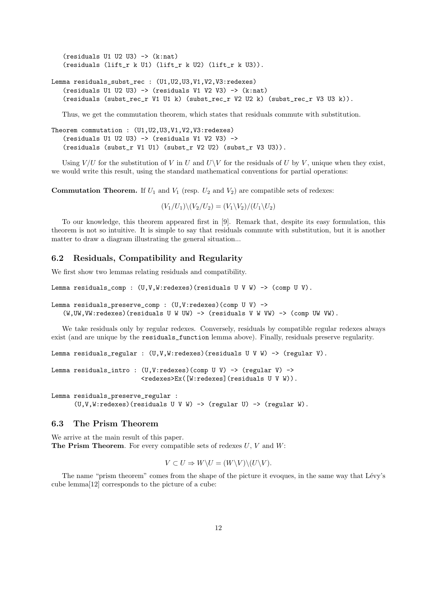$(residuals$  U1 U2 U3)  $\rightarrow$   $(k:nat)$ (residuals (lift\_r k U1) (lift\_r k U2) (lift\_r k U3)).

```
Lemma residuals_subst_rec : (U1,U2,U3,V1,V2,V3:redexes)
   (residuals U1 U2 U3) \rightarrow (residuals V1 V2 V3) \rightarrow (k:nat)
   (residuals (subst_rec_r V1 U1 k) (subst_rec_r V2 U2 k) (subst_rec_r V3 U3 k)).
```
Thus, we get the commutation theorem, which states that residuals commute with substitution.

```
Theorem commutation : (U1,U2,U3,V1,V2,V3:redexes)
   (residuals U1 U2 U3) -> (residuals V1 V2 V3) ->
   (residuals (subst_r V1 U1) (subst_r V2 U2) (subst_r V3 U3)).
```
Using  $V/U$  for the substitution of V in U and  $U\backslash V$  for the residuals of U by V, unique when they exist, we would write this result, using the standard mathematical conventions for partial operations:

**Commutation Theorem.** If  $U_1$  and  $V_1$  (resp.  $U_2$  and  $V_2$ ) are compatible sets of redexes:

 $(V_1/U_1)\backslash (V_2/U_2) = (V_1\backslash V_2)/(U_1\backslash U_2)$ 

To our knowledge, this theorem appeared first in [9]. Remark that, despite its easy formulation, this theorem is not so intuitive. It is simple to say that residuals commute with substitution, but it is another matter to draw a diagram illustrating the general situation...

#### 6.2 Residuals, Compatibility and Regularity

We first show two lemmas relating residuals and compatibility.

```
Lemma residuals_comp : (U, V, W:redexes)(residuals U V W) -> (comp U V).
```

```
Lemma residuals_preserve_comp : (U,V:redexes)(comp U V) ->
   (W,UW,VW:redexes)(residuals U W UW) -> (residuals V W VW) -> (comp UW VW).
```
We take residuals only by regular redexes. Conversely, residuals by compatible regular redexes always exist (and are unique by the residuals\_function lemma above). Finally, residuals preserve regularity.

```
Lemma residuals_regular : (U,V,W:redexes)(residuals U V W) -> (regular V).
```

```
Lemma residuals_intro : (U, V:redexes)(comp U V) -> (regular V) ->
                        <redexes>Ex([W:redexes](residuals U V W)).
```
Lemma residuals\_preserve\_regular :  $(U, V, W:$ redexes)(residuals U V W) -> (regular U) -> (regular W).

#### 6.3 The Prism Theorem

We arrive at the main result of this paper. The Prism Theorem. For every compatible sets of redexes  $U, V$  and  $W$ :

 $V \subset U \Rightarrow W \backslash U = (W \backslash V) \backslash (U \backslash V).$ 

The name "prism theorem" comes from the shape of the picture it evoques, in the same way that Lévy's cube lemma[12] corresponds to the picture of a cube: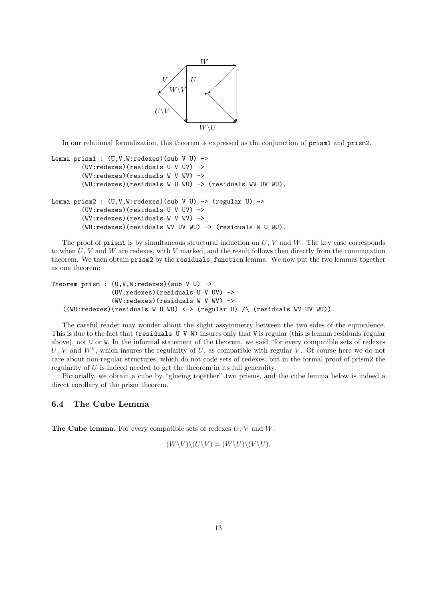

In our relational formalization, this theorem is expressed as the conjunction of prism1 and prism2.

```
Lemma prism1 : (U, V, W:redexes)(sub V U) ->
        (UV:redexes)(residuals U V UV) ->
        (WV:redexes)(residuals W V WV) ->
        (WU:redexes)(residuals W U WU) -> (residuals WV UV WU).
Lemma prism2: (U,V,W:rederes)(sub V U) \rightarrow (regular U) \rightarrow(UV:redexes)(residuals U V UV) ->
        (WV:redexes)(residuals W V WV) ->
        (WU:redexes)(residuals WV UV WU) -> (residuals W U WU).
```
The proof of  $\text{prism1}$  is by simultaneous structural induction on U, V and W. The key case corresponds to when  $U, V$  and  $W$  are redexes, with  $V$  marked, and the result follows then directly from the commutation theorem. We then obtain prism2 by the residuals\_function lemma. We now put the two lemmas together as one theorem:

```
Theorem prism : (U, V, W:redexes)(sub V U) ->
                (UV:redexes)(residuals U V UV) ->
                (WV:redexes)(residuals W V WV) ->
   ((WU:redexes)(residuals W U WU) <-> (regular U) /\ (residuals WV UV WU)).
```
The careful reader may wonder about the slight assymmetry between the two sides of the equivalence. This is due to the fact that (residuals U V W) insures only that V is regular (this is lemma residuals regular above), not U or W. In the informal statement of the theorem, we said "for every compatible sets of redexes  $U, V$  and  $W$ ", which insures the regularity of  $U$ , as compatible with regular  $V$ . Of course here we do not care about non-regular structures, which do not code sets of redexes, but in the formal proof of prism2 the regularity of U is indeed needed to get the theorem in its full generality.

Pictorially, we obtain a cube by "glueing together" two prisms, and the cube lemma below is indeed a direct corollary of the prism theorem.

### 6.4 The Cube Lemma

**The Cube lemma**. For every compatible sets of redexes  $U, V$  and  $W$ :

$$
(W \backslash V) \backslash (U \backslash V) = (W \backslash U) \backslash (V \backslash U).
$$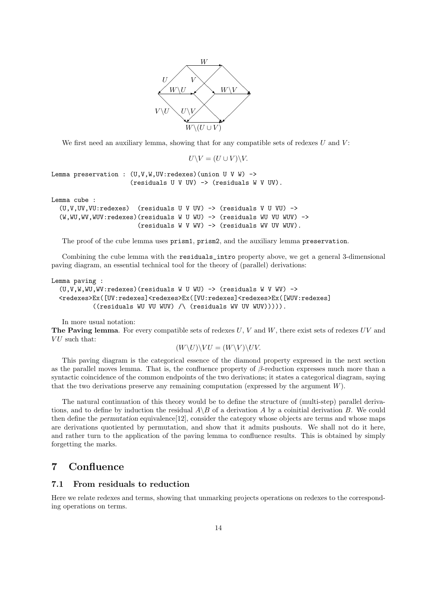

We first need an auxiliary lemma, showing that for any compatible sets of redexes  $U$  and  $V$ :

 $U\backslash V = (U\cup V)\backslash V.$ 

Lemma preservation :  $(U, V, W, UV:$  redexes) (union U V W) -> (residuals U V UV) -> (residuals W V UV).

Lemma cube :

 $(U, V, UV, VU:$ redexes) (residuals U V UV) -> (residuals V U VU) -> (W,WU,WV,WUV:redexes)(residuals W U WU) -> (residuals WU VU WUV) -> (residuals W V WV) -> (residuals WV UV WUV).

The proof of the cube lemma uses prism1, prism2, and the auxiliary lemma preservation.

Combining the cube lemma with the residuals\_intro property above, we get a general 3-dimensional paving diagram, an essential technical tool for the theory of (parallel) derivations:

Lemma paving :

```
(U, V, W, WU, WV: redexes) (residuals W U WU) \rightarrow (residuals W V WV) \rightarrow<redexes>Ex([UV:redexes]<redexes>Ex([VU:redexes]<redexes>Ex([WUV:redexes]
          ((residuals WU VU WUV) /\ (residuals WV UV WUV))))).
```
In more usual notation:

The Paving lemma. For every compatible sets of redexes  $U, V$  and  $W$ , there exist sets of redexes  $UV$  and  $VU$  such that:

$$
(W\backslash U)\backslash VU=(W\backslash V)\backslash UV.
$$

This paving diagram is the categorical essence of the diamond property expressed in the next section as the parallel moves lemma. That is, the confluence property of  $\beta$ -reduction expresses much more than a syntactic coincidence of the common endpoints of the two derivations; it states a categorical diagram, saying that the two derivations preserve any remaining computation (expressed by the argument  $W$ ).

The natural continuation of this theory would be to define the structure of (multi-step) parallel derivations, and to define by induction the residual  $A\setminus B$  of a derivation A by a coinitial derivation B. We could then define the permutation equivalence[12], consider the category whose objects are terms and whose maps are derivations quotiented by permutation, and show that it admits pushouts. We shall not do it here, and rather turn to the application of the paving lemma to confluence results. This is obtained by simply forgetting the marks.

# 7 Confluence

## 7.1 From residuals to reduction

Here we relate redexes and terms, showing that unmarking projects operations on redexes to the corresponding operations on terms.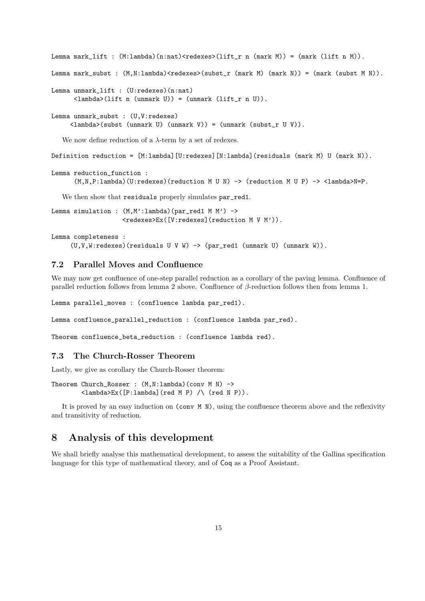```
Lemma mark_lift : (M:\lambda) (n:nat) < redexes>(lift_r n (mark M)) = (mark (lift n M)).
Lemma mark_subst : (M,N:lambda)<redexes>(subst_r (mark M) (mark N)) = (mark (subst M N)).
Lemma unmark_lift : (U:redexes)(n:nat)
      \langlelambda>(lift n (unmark U)) = (unmark (lift_r n U)).
Lemma unmark_subst : (U,V:redexes)
     <lambda>(subst (unmark U) (unmark V)) = (unmark (subst_r U V)).
   We now define reduction of a \lambda-term by a set of redexes.
Definition reduction = [M:lambda][U:redexes][N:lambda](residuals (mark M) U (mark N)).
```

```
Lemma reduction_function :
      (M,N,P:lambda)(U:redexes)(reduction M U N) -> (reduction M U P) -> <lambda>N=P.
```
We then show that residuals properly simulates par\_red1.

```
Lemma simulation : (M, M' : lambda) (par_red1 M M') ->
                    <redexes>Ex([V:redexes](reduction M V M')).
```

```
Lemma completeness :
     (U,V,W:redexes)(residuals U V W) -> (par_red1 (unmark U) (unmark W)).
```
# 7.2 Parallel Moves and Confluence

We may now get confluence of one-step parallel reduction as a corollary of the paving lemma. Confluence of parallel reduction follows from lemma 2 above. Confluence of  $\beta$ -reduction follows then from lemma 1.

Lemma parallel\_moves : (confluence lambda par\_red1).

Lemma confluence\_parallel\_reduction : (confluence lambda par\_red).

Theorem confluence\_beta\_reduction : (confluence lambda red).

### 7.3 The Church-Rosser Theorem

Lastly, we give as corollary the Church-Rosser theorem:

```
Theorem Church_Rosser : (M,N:lambda)(conv M N) ->
        <lambda>Ex([P:lambda](red M P) /\ (red N P)).
```
It is proved by an easy induction on (conv M N), using the confluence theorem above and the reflexivity and transitivity of reduction.

# 8 Analysis of this development

We shall briefly analyse this mathematical development, to assess the suitability of the Gallina specification language for this type of mathematical theory, and of Coq as a Proof Assistant.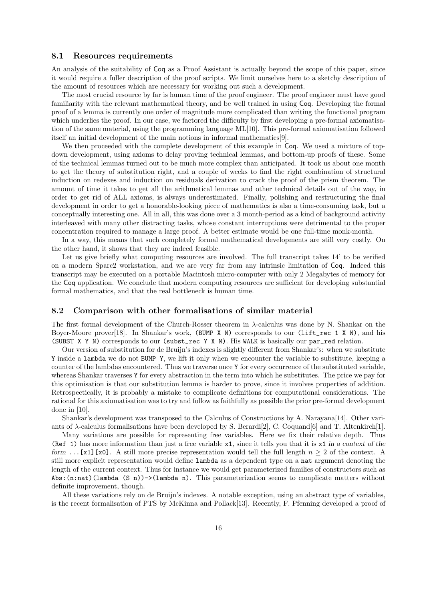#### 8.1 Resources requirements

An analysis of the suitability of Coq as a Proof Assistant is actually beyond the scope of this paper, since it would require a fuller description of the proof scripts. We limit ourselves here to a sketchy description of the amount of resources which are necessary for working out such a development.

The most crucial resource by far is human time of the proof engineer. The proof engineer must have good familiarity with the relevant mathematical theory, and be well trained in using Coq. Developing the formal proof of a lemma is currently one order of magnitude more complicated than writing the functional program which underlies the proof. In our case, we factored the difficulty by first developing a pre-formal axiomatisation of the same material, using the programming language ML[10]. This pre-formal axiomatisation followed itself an initial development of the main notions in informal mathematics[9].

We then proceeded with the complete development of this example in Coq. We used a mixture of topdown development, using axioms to delay proving technical lemmas, and bottom-up proofs of these. Some of the technical lemmas turned out to be much more complex than anticipated. It took us about one month to get the theory of substitution right, and a couple of weeks to find the right combination of structural induction on redexes and induction on residuals derivation to crack the proof of the prism theorem. The amount of time it takes to get all the arithmetical lemmas and other technical details out of the way, in order to get rid of ALL axioms, is always underestimated. Finally, polishing and restructuring the final development in order to get a honorable-looking piece of mathematics is also a time-consuming task, but a conceptually interesting one. All in all, this was done over a 3 month-period as a kind of background activity interleaved with many other distracting tasks, whose constant interruptions were detrimental to the proper concentration required to manage a large proof. A better estimate would be one full-time monk-month.

In a way, this means that such completely formal mathematical developments are still very costly. On the other hand, it shows that they are indeed feasible.

Let us give briefly what computing resources are involved. The full transcript takes 14' to be verified on a modern Sparc2 workstation, and we are very far from any intrinsic limitation of Coq. Indeed this transcript may be executed on a portable Macintosh micro-computer with only 2 Megabytes of memory for the Coq application. We conclude that modern computing resources are sufficient for developing substantial formal mathematics, and that the real bottleneck is human time.

#### 8.2 Comparison with other formalisations of similar material

The first formal development of the Church-Rosser theorem in  $\lambda$ -calculus was done by N. Shankar on the Boyer-Moore prover[18]. In Shankar's work, (BUMP X N) corresponds to our (lift\_rec 1 X N), and his (SUBST X Y N) corresponds to our (subst\_rec Y X N). His WALK is basically our par\_red relation.

Our version of substitution for de Bruijn's indexes is slightly different from Shankar's: when we substitute Y inside a lambda we do not BUMP Y, we lift it only when we encounter the variable to substitute, keeping a counter of the lambdas encountered. Thus we traverse once Y for every occurrence of the substituted variable, whereas Shankar traverses Y for every abstraction in the term into which he substitutes. The price we pay for this optimisation is that our substitution lemma is harder to prove, since it involves properties of addition. Retrospectically, it is probably a mistake to complicate definitions for computational considerations. The rational for this axiomatisation was to try and follow as faithfully as possible the prior pre-formal development done in [10].

Shankar's development was transposed to the Calculus of Constructions by A. Narayana[14]. Other variants of  $\lambda$ -calculus formalisations have been developed by S. Berardi[2], C. Coquand[6] and T. Altenkirch[1].

Many variations are possible for representing free variables. Here we fix their relative depth. Thus (Ref 1) has more information than just a free variable  $x1$ , since it tells you that it is  $x1$  in a context of the form ...[x1][x0]. A still more precise representation would tell the full length  $n \geq 2$  of the context. A still more explicit representation would define lambda as a dependent type on a nat argument denoting the length of the current context. Thus for instance we would get parameterized families of constructors such as Abs: $(n:nat)$  (lambda (S n))->(lambda n). This parameterization seems to complicate matters without definite improvement, though.

All these variations rely on de Bruijn's indexes. A notable exception, using an abstract type of variables, is the recent formalisation of PTS by McKinna and Pollack[13]. Recently, F. Pfenning developed a proof of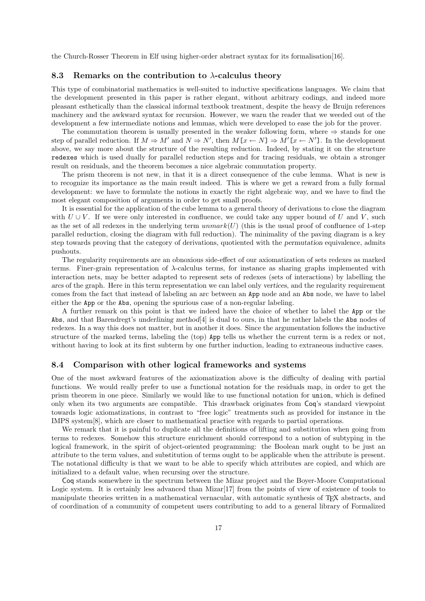the Church-Rosser Theorem in Elf using higher-order abstract syntax for its formalisation[16].

#### 8.3 Remarks on the contribution to  $\lambda$ -calculus theory

This type of combinatorial mathematics is well-suited to inductive specifications languages. We claim that the development presented in this paper is rather elegant, without arbitrary codings, and indeed more pleasant esthetically than the classical informal textbook treatment, despite the heavy de Bruijn references machinery and the awkward syntax for recursion. However, we warn the reader that we weeded out of the development a few intermediate notions and lemmas, which were developed to ease the job for the prover.

The commutation theorem is usually presented in the weaker following form, where  $\Rightarrow$  stands for one step of parallel reduction. If  $M \Rightarrow M'$  and  $N \Rightarrow N'$ , then  $M[x \leftarrow N] \Rightarrow M'[x \leftarrow N']$ . In the development above, we say more about the structure of the resulting reduction. Indeed, by stating it on the structure redexes which is used dually for parallel reduction steps and for tracing residuals, we obtain a stronger result on residuals, and the theorem becomes a nice algebraic commutation property.

The prism theorem is not new, in that it is a direct consequence of the cube lemma. What is new is to recognize its importance as the main result indeed. This is where we get a reward from a fully formal development: we have to formulate the notions in exactly the right algebraic way, and we have to find the most elegant composition of arguments in order to get small proofs.

It is essential for the application of the cube lemma to a general theory of derivations to close the diagram with  $U \cup V$ . If we were only interested in confluence, we could take any upper bound of U and V, such as the set of all redexes in the underlying term  $unmark(U)$  (this is the usual proof of confluence of 1-step parallel reduction, closing the diagram with full reduction). The minimality of the paving diagram is a key step towards proving that the category of derivations, quotiented with the permutation equivalence, admits pushouts.

The regularity requirements are an obnoxious side-effect of our axiomatization of sets redexes as marked terms. Finer-grain representation of  $\lambda$ -calculus terms, for instance as sharing graphs implemented with interaction nets, may be better adapted to represent sets of redexes (sets of interactions) by labelling the arcs of the graph. Here in this term representation we can label only vertices, and the regularity requirement comes from the fact that instead of labeling an arc between an App node and an Abs node, we have to label either the App or the Abs, opening the spurious case of a non-regular labeling.

A further remark on this point is that we indeed have the choice of whether to label the App or the Abs, and that Barendregt's underlining method[4] is dual to ours, in that he rather labels the Abs nodes of redexes. In a way this does not matter, but in another it does. Since the argumentation follows the inductive structure of the marked terms, labeling the (top) App tells us whether the current term is a redex or not, without having to look at its first subterm by one further induction, leading to extraneous inductive cases.

#### 8.4 Comparison with other logical frameworks and systems

One of the most awkward features of the axiomatization above is the difficulty of dealing with partial functions. We would really prefer to use a functional notation for the residuals map, in order to get the prism theorem in one piece. Similarly we would like to use functional notation for union, which is defined only when its two arguments are compatible. This drawback originates from Coq's standard viewpoint towards logic axiomatizations, in contrast to "free logic" treatments such as provided for instance in the IMPS system[8], which are closer to mathematical practice with regards to partial operations.

We remark that it is painful to duplicate all the definitions of lifting and substitution when going from terms to redexes. Somehow this structure enrichment should correspond to a notion of subtyping in the logical framework, in the spirit of object-oriented programming: the Boolean mark ought to be just an attribute to the term values, and substitution of terms ought to be applicable when the attribute is present. The notational difficulty is that we want to be able to specify which attributes are copied, and which are initialized to a default value, when recursing over the structure.

Coq stands somewhere in the spectrum between the Mizar project and the Boyer-Moore Computational Logic system. It is certainly less advanced than Mizar<sup>[17]</sup> from the points of view of existence of tools to manipulate theories written in a mathematical vernacular, with automatic synthesis of TEX abstracts, and of coordination of a community of competent users contributing to add to a general library of Formalized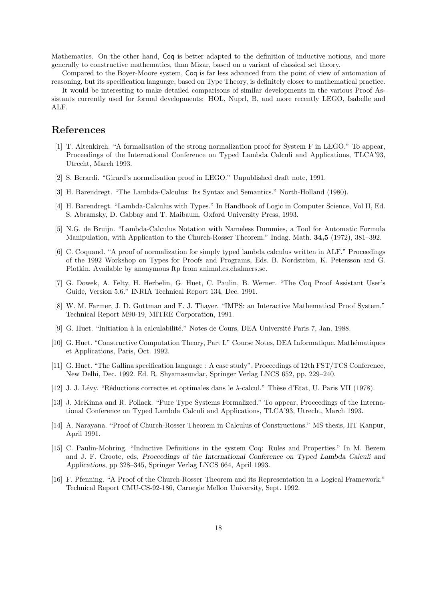Mathematics. On the other hand, Coq is better adapted to the definition of inductive notions, and more generally to constructive mathematics, than Mizar, based on a variant of classical set theory.

Compared to the Boyer-Moore system, Coq is far less advanced from the point of view of automation of reasoning, but its specification language, based on Type Theory, is definitely closer to mathematical practice.

It would be interesting to make detailed comparisons of similar developments in the various Proof Assistants currently used for formal developments: HOL, Nuprl, B, and more recently LEGO, Isabelle and ALF.

# References

- [1] T. Altenkirch. "A formalisation of the strong normalization proof for System F in LEGO." To appear, Proceedings of the International Conference on Typed Lambda Calculi and Applications, TLCA'93, Utrecht, March 1993.
- [2] S. Berardi. "Girard's normalisation proof in LEGO." Unpublished draft note, 1991.
- [3] H. Barendregt. "The Lambda-Calculus: Its Syntax and Semantics." North-Holland (1980).
- [4] H. Barendregt. "Lambda-Calculus with Types." In Handbook of Logic in Computer Science, Vol II, Ed. S. Abramsky, D. Gabbay and T. Maibaum, Oxford University Press, 1993.
- [5] N.G. de Bruijn. "Lambda-Calculus Notation with Nameless Dummies, a Tool for Automatic Formula Manipulation, with Application to the Church-Rosser Theorem." Indag. Math. 34,5 (1972), 381–392.
- [6] C. Coquand. "A proof of normalization for simply typed lambda calculus written in ALF." Proceedings of the 1992 Workshop on Types for Proofs and Programs, Eds. B. Nordström, K. Petersson and G. Plotkin. Available by anonymous ftp from animal.cs.chalmers.se.
- [7] G. Dowek, A. Felty, H. Herbelin, G. Huet, C. Paulin, B. Werner. "The Coq Proof Assistant User's Guide, Version 5.6." INRIA Technical Report 134, Dec. 1991.
- [8] W. M. Farmer, J. D. Guttman and F. J. Thayer. "IMPS: an Interactive Mathematical Proof System." Technical Report M90-19, MITRE Corporation, 1991.
- [9] G. Huet. "Initiation à la calculabilité." Notes de Cours, DEA Université Paris 7, Jan. 1988.
- [10] G. Huet. "Constructive Computation Theory, Part I." Course Notes, DEA Informatique, Mathématiques et Applications, Paris, Oct. 1992.
- [11] G. Huet. "The Gallina specification language : A case study". Proceedings of 12th FST/TCS Conference, New Delhi, Dec. 1992. Ed. R. Shyamasundar, Springer Verlag LNCS 652, pp. 229–240.
- [12] J. J. Lévy. "Réductions correctes et optimales dans le  $\lambda$ -calcul." Thèse d'Etat, U. Paris VII (1978).
- [13] J. McKinna and R. Pollack. "Pure Type Systems Formalized." To appear, Proceedings of the International Conference on Typed Lambda Calculi and Applications, TLCA'93, Utrecht, March 1993.
- [14] A. Narayana. "Proof of Church-Rosser Theorem in Calculus of Constructions." MS thesis, IIT Kanpur, April 1991.
- [15] C. Paulin-Mohring. "Inductive Definitions in the system Coq: Rules and Properties." In M. Bezem and J. F. Groote, eds, Proceedings of the International Conference on Typed Lambda Calculi and Applications, pp 328–345, Springer Verlag LNCS 664, April 1993.
- [16] F. Pfenning. "A Proof of the Church-Rosser Theorem and its Representation in a Logical Framework." Technical Report CMU-CS-92-186, Carnegie Mellon University, Sept. 1992.